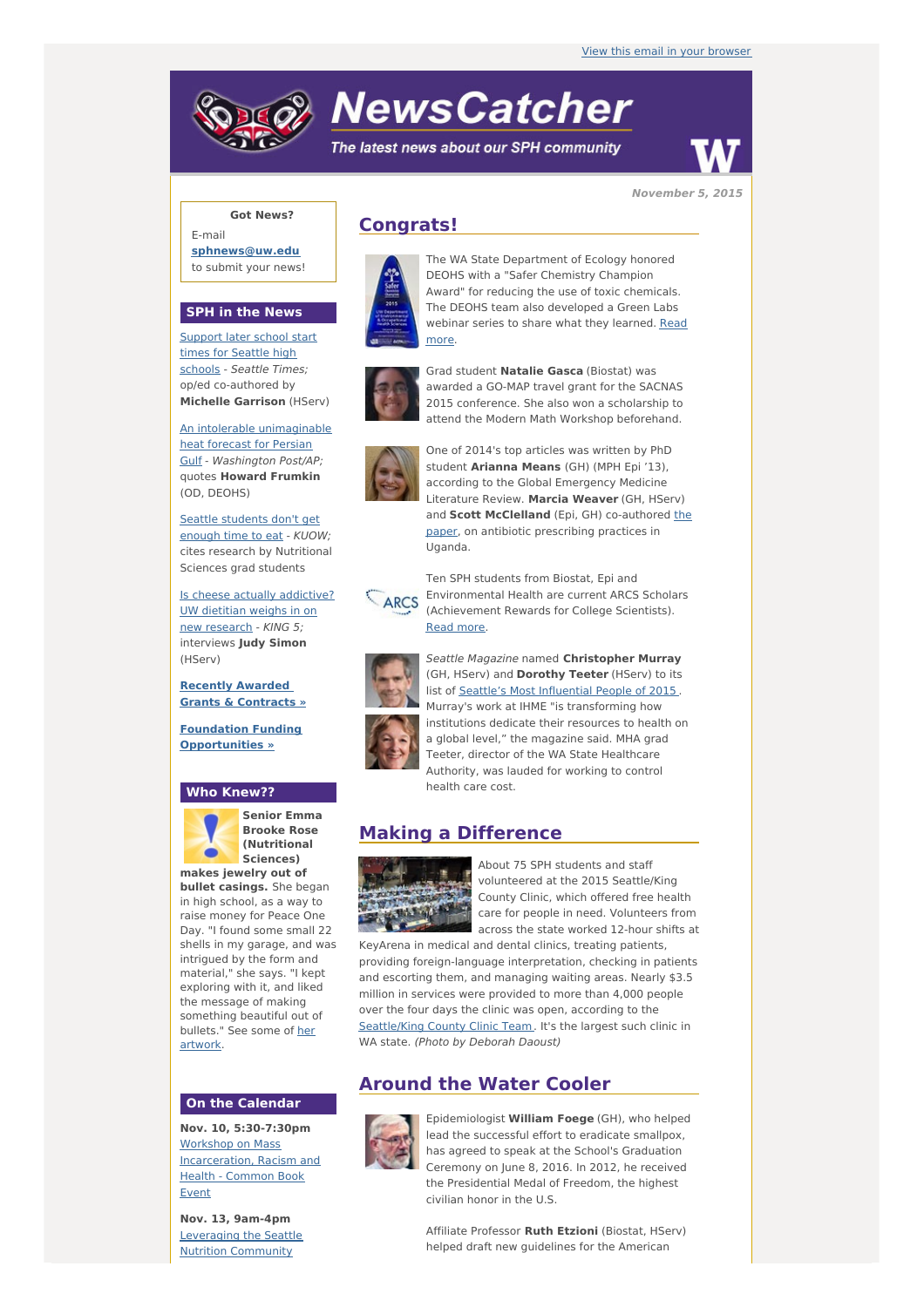# **NewsCatcher**

The latest news about our SPH community



**November 5, 2015**

### **Got News?**

E-mail **[sphnews@uw.edu](mailto:sphnews@uw.edu)** to submit your news!

#### **SPH in the News**

[Support](http://engage.washington.edu/site/R?i=q2etQJGmwRBg7Sc-lqkgFg) later school start times for Seattle high schools - Seattle Times; op/ed co-authored by **Michelle Garrison** (HServ)

An intolerable [unimaginable](http://engage.washington.edu/site/R?i=JXWkiGzEeBCk04o0aEHU5w) heat forecast for Persian Gulf - Washington Post/AP; quotes **Howard Frumkin** (OD, DEOHS)

Seattle [students](http://engage.washington.edu/site/R?i=DostYNmojLksFA3Cvur__A) don't get enough time to eat - KUOW; cites research by Nutritional Sciences grad students

Is cheese actually [addictive?](http://engage.washington.edu/site/R?i=wMKyWzrdZSC8J3oTNNy5ew) UW dietitian weighs in on new research - KING 5; interviews **Judy Simon** (HServ)

**Recently Awarded Grants & [Contracts](http://engage.washington.edu/site/R?i=EX2pO9S3ebFlBN31rOKLJA) »**

**Foundation Funding [Opportunities](http://engage.washington.edu/site/R?i=sioumERNQbd2HjDW2X8veg) »**

#### **Who Knew??**



**Senior Emma Brooke Rose (Nutritional Sciences)**

**makes jewelry out of bullet casings.** She began in high school, as a way to raise money for Peace One Day. "I found some small 22 shells in my garage, and was intrigued by the form and material," she says. "I kept exploring with it, and liked the message of making something beautiful out of [bullets."](http://engage.washington.edu/site/R?i=b20LZzXeKZzx6ycvPwC33Q) See some of her artwork.

#### **On the Calendar**

**Nov. 10, 5:30-7:30pm** Workshop on Mass [Incarceration,](http://engage.washington.edu/site/R?i=WD1AM7jPOmSm4mkN9KGj3g) Racism and Health - Common Book Event

**Nov. 13, 9am-4pm** [Leveraging](http://engage.washington.edu/site/R?i=7aMKFRzIxZif_EhNFfIhJw) the Seattle **Nutrition Community** 





The WA State Department of Ecology honored DEOHS with a "Safer Chemistry Champion Award" for reducing the use of toxic chemicals. The DEOHS team also developed a Green Labs webinar series to share what they [learned.](http://engage.washington.edu/site/R?i=xHpsqmB6Q47xLKup-WH4ww) Read more.



Grad student **Natalie Gasca** (Biostat) was awarded a GO-MAP travel grant for the SACNAS 2015 conference. She also won a scholarship to attend the Modern Math Workshop beforehand.



One of 2014's top articles was written by PhD student **Arianna Means** (GH) (MPH Epi '13), according to the Global Emergency Medicine Literature Review. **Marcia Weaver** (GH, HServ) and **Scott [McClelland](http://engage.washington.edu/site/R?i=QJkUNIAZF-bIlLQo5Xl_Hg)** (Epi, GH) co-authored the paper, on antibiotic prescribing practices in Uganda.



Ten SPH students from Biostat, Epi and Environmental Health are current ARCS Scholars (Achievement Rewards for College Scientists). [Read](http://engage.washington.edu/site/R?i=TGKh8Vkp3gcPMbnG_HnFLQ) more.



Seattle Magazine named **Christopher Murray** (GH, HServ) and **Dorothy Teeter** (HServ) to its list of Seattle's Most [Influential](http://engage.washington.edu/site/R?i=PKzYhnujirLkWHb-n_YcVQ) People of 2015. Murray's work at IHME "is transforming how institutions dedicate their resources to health on a global level," the magazine said. MHA grad Teeter, director of the WA State Healthcare Authority, was lauded for working to control health care cost.

## **Making a Difference**



About 75 SPH students and staff volunteered at the 2015 Seattle/King County Clinic, which offered free health care for people in need. Volunteers from across the state worked 12-hour shifts at

KeyArena in medical and dental clinics, treating patients, providing foreign-language interpretation, checking in patients and escorting them, and managing waiting areas. Nearly \$3.5 million in services were provided to more than 4,000 people over the four days the clinic was open, according to the [Seattle/King](http://engage.washington.edu/site/R?i=bu7ghuus2vsx3QW36jDvMg) County Clinic Team. It's the largest such clinic in WA state. (Photo by Deborah Daoust)

## **Around the Water Cooler**



Epidemiologist **William Foege** (GH), who helped lead the successful effort to eradicate smallpox, has agreed to speak at the School's Graduation Ceremony on June 8, 2016. In 2012, he received the Presidential Medal of Freedom, the highest civilian honor in the U.S.

Affiliate Professor **Ruth Etzioni** (Biostat, HServ) helped draft new guidelines for the American